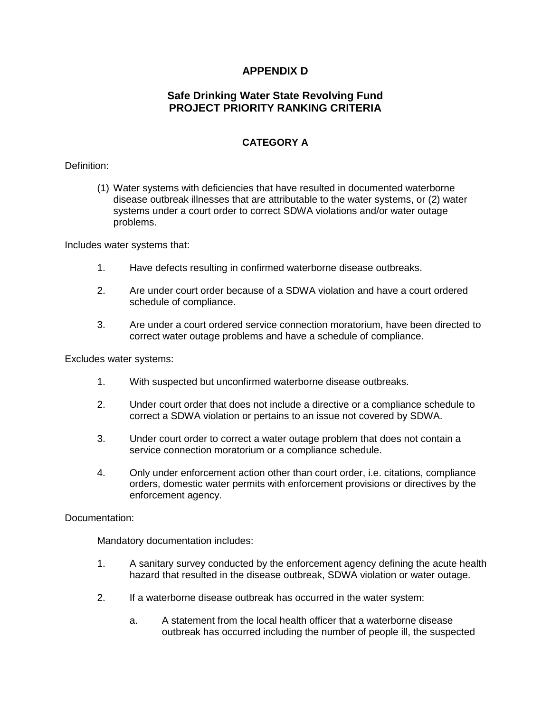# **APPENDIX D**

### **Safe Drinking Water State Revolving Fund PROJECT PRIORITY RANKING CRITERIA**

# **CATEGORY A**

### Definition:

(1) Water systems with deficiencies that have resulted in documented waterborne disease outbreak illnesses that are attributable to the water systems, or (2) water systems under a court order to correct SDWA violations and/or water outage problems.

Includes water systems that:

- 1. Have defects resulting in confirmed waterborne disease outbreaks.
- 2. Are under court order because of a SDWA violation and have a court ordered schedule of compliance.
- 3. Are under a court ordered service connection moratorium, have been directed to correct water outage problems and have a schedule of compliance.

Excludes water systems:

- 1. With suspected but unconfirmed waterborne disease outbreaks.
- 2. Under court order that does not include a directive or a compliance schedule to correct a SDWA violation or pertains to an issue not covered by SDWA.
- 3. Under court order to correct a water outage problem that does not contain a service connection moratorium or a compliance schedule.
- 4. Only under enforcement action other than court order, i.e. citations, compliance orders, domestic water permits with enforcement provisions or directives by the enforcement agency.

#### Documentation:

- 1. A sanitary survey conducted by the enforcement agency defining the acute health hazard that resulted in the disease outbreak, SDWA violation or water outage.
- 2. If a waterborne disease outbreak has occurred in the water system:
	- a. A statement from the local health officer that a waterborne disease outbreak has occurred including the number of people ill, the suspected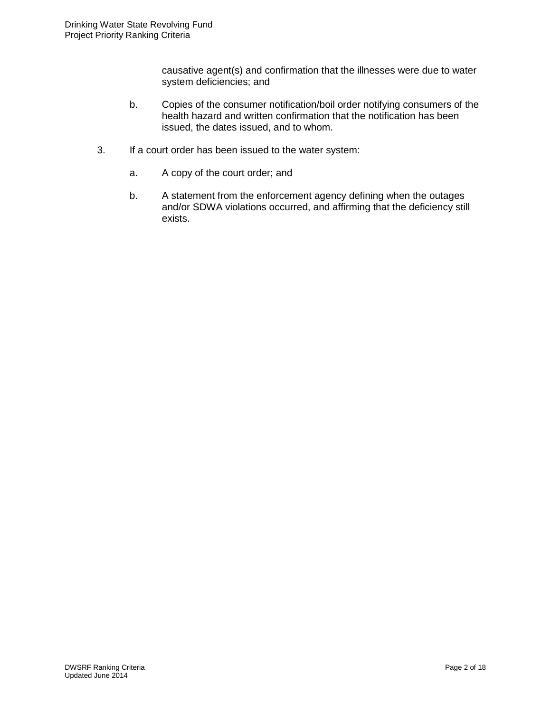causative agent(s) and confirmation that the illnesses were due to water system deficiencies; and

- b. Copies of the consumer notification/boil order notifying consumers of the health hazard and written confirmation that the notification has been issued, the dates issued, and to whom.
- 3. If a court order has been issued to the water system:
	- a. A copy of the court order; and
	- b. A statement from the enforcement agency defining when the outages and/or SDWA violations occurred, and affirming that the deficiency still exists.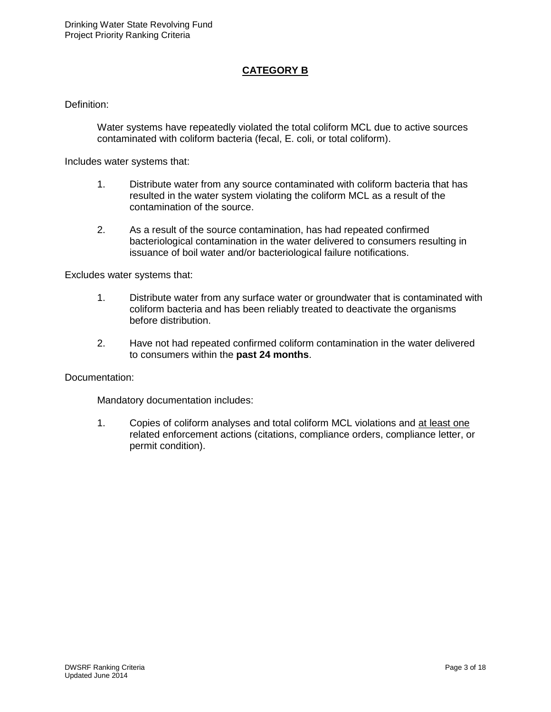## **CATEGORY B**

Definition:

Water systems have repeatedly violated the total coliform MCL due to active sources contaminated with coliform bacteria (fecal, E. coli, or total coliform).

Includes water systems that:

- 1. Distribute water from any source contaminated with coliform bacteria that has resulted in the water system violating the coliform MCL as a result of the contamination of the source.
- 2. As a result of the source contamination, has had repeated confirmed bacteriological contamination in the water delivered to consumers resulting in issuance of boil water and/or bacteriological failure notifications.

Excludes water systems that:

- 1. Distribute water from any surface water or groundwater that is contaminated with coliform bacteria and has been reliably treated to deactivate the organisms before distribution.
- 2. Have not had repeated confirmed coliform contamination in the water delivered to consumers within the **past 24 months**.

Documentation:

Mandatory documentation includes:

1. Copies of coliform analyses and total coliform MCL violations and at least one related enforcement actions (citations, compliance orders, compliance letter, or permit condition).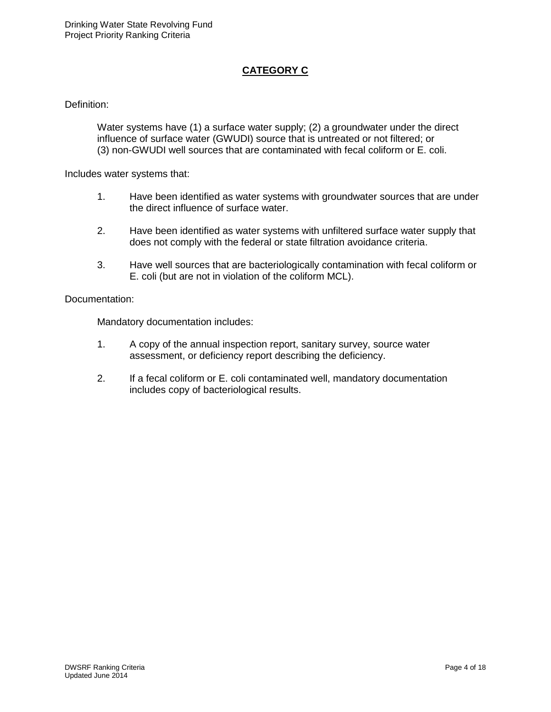# **CATEGORY C**

### Definition:

Water systems have (1) a surface water supply; (2) a groundwater under the direct influence of surface water (GWUDI) source that is untreated or not filtered; or (3) non-GWUDI well sources that are contaminated with fecal coliform or E. coli.

Includes water systems that:

- 1. Have been identified as water systems with groundwater sources that are under the direct influence of surface water.
- 2. Have been identified as water systems with unfiltered surface water supply that does not comply with the federal or state filtration avoidance criteria.
- 3. Have well sources that are bacteriologically contamination with fecal coliform or E. coli (but are not in violation of the coliform MCL).

#### Documentation:

- 1. A copy of the annual inspection report, sanitary survey, source water assessment, or deficiency report describing the deficiency.
- 2. If a fecal coliform or E. coli contaminated well, mandatory documentation includes copy of bacteriological results.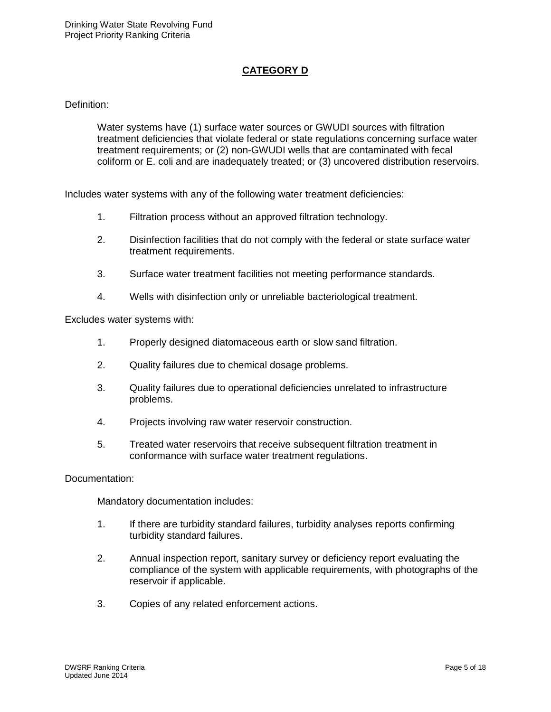# **CATEGORY D**

#### Definition:

Water systems have (1) surface water sources or GWUDI sources with filtration treatment deficiencies that violate federal or state regulations concerning surface water treatment requirements; or (2) non-GWUDI wells that are contaminated with fecal coliform or E. coli and are inadequately treated; or (3) uncovered distribution reservoirs.

Includes water systems with any of the following water treatment deficiencies:

- 1. Filtration process without an approved filtration technology.
- 2. Disinfection facilities that do not comply with the federal or state surface water treatment requirements.
- 3. Surface water treatment facilities not meeting performance standards.
- 4. Wells with disinfection only or unreliable bacteriological treatment.

Excludes water systems with:

- 1. Properly designed diatomaceous earth or slow sand filtration.
- 2. Quality failures due to chemical dosage problems.
- 3. Quality failures due to operational deficiencies unrelated to infrastructure problems.
- 4. Projects involving raw water reservoir construction.
- 5. Treated water reservoirs that receive subsequent filtration treatment in conformance with surface water treatment regulations.

#### Documentation:

- 1. If there are turbidity standard failures, turbidity analyses reports confirming turbidity standard failures.
- 2. Annual inspection report, sanitary survey or deficiency report evaluating the compliance of the system with applicable requirements, with photographs of the reservoir if applicable.
- 3. Copies of any related enforcement actions.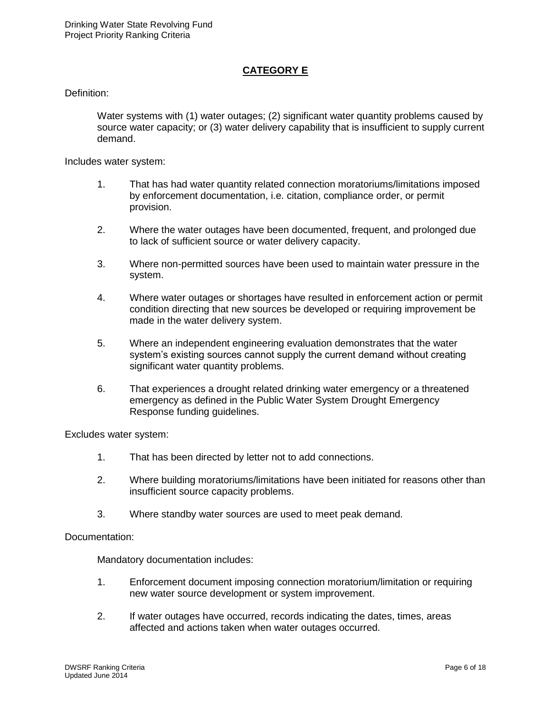## **CATEGORY E**

Definition:

Water systems with (1) water outages; (2) significant water quantity problems caused by source water capacity; or (3) water delivery capability that is insufficient to supply current demand.

Includes water system:

- 1. That has had water quantity related connection moratoriums/limitations imposed by enforcement documentation, i.e. citation, compliance order, or permit provision.
- 2. Where the water outages have been documented, frequent, and prolonged due to lack of sufficient source or water delivery capacity.
- 3. Where non-permitted sources have been used to maintain water pressure in the system.
- 4. Where water outages or shortages have resulted in enforcement action or permit condition directing that new sources be developed or requiring improvement be made in the water delivery system.
- 5. Where an independent engineering evaluation demonstrates that the water system's existing sources cannot supply the current demand without creating significant water quantity problems.
- 6. That experiences a drought related drinking water emergency or a threatened emergency as defined in the Public Water System Drought Emergency Response funding guidelines.

Excludes water system:

- 1. That has been directed by letter not to add connections.
- 2. Where building moratoriums/limitations have been initiated for reasons other than insufficient source capacity problems.
- 3. Where standby water sources are used to meet peak demand.

Documentation:

- 1. Enforcement document imposing connection moratorium/limitation or requiring new water source development or system improvement.
- 2. If water outages have occurred, records indicating the dates, times, areas affected and actions taken when water outages occurred.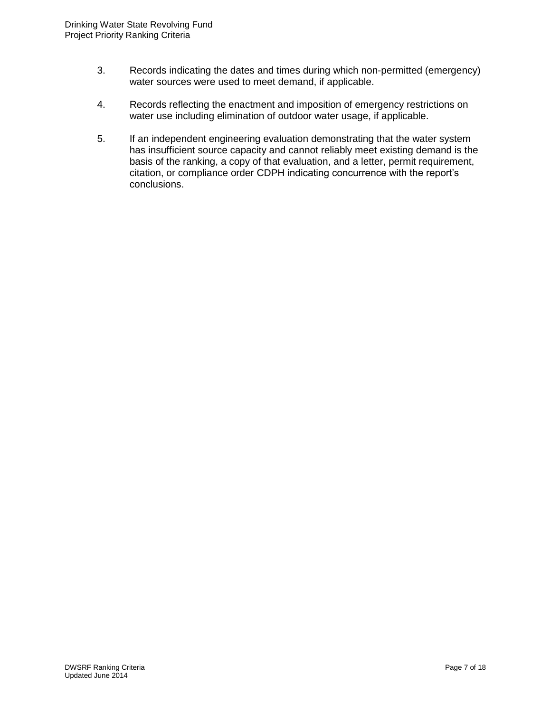- 3. Records indicating the dates and times during which non-permitted (emergency) water sources were used to meet demand, if applicable.
- 4. Records reflecting the enactment and imposition of emergency restrictions on water use including elimination of outdoor water usage, if applicable.
- 5. If an independent engineering evaluation demonstrating that the water system has insufficient source capacity and cannot reliably meet existing demand is the basis of the ranking, a copy of that evaluation, and a letter, permit requirement, citation, or compliance order CDPH indicating concurrence with the report's conclusions.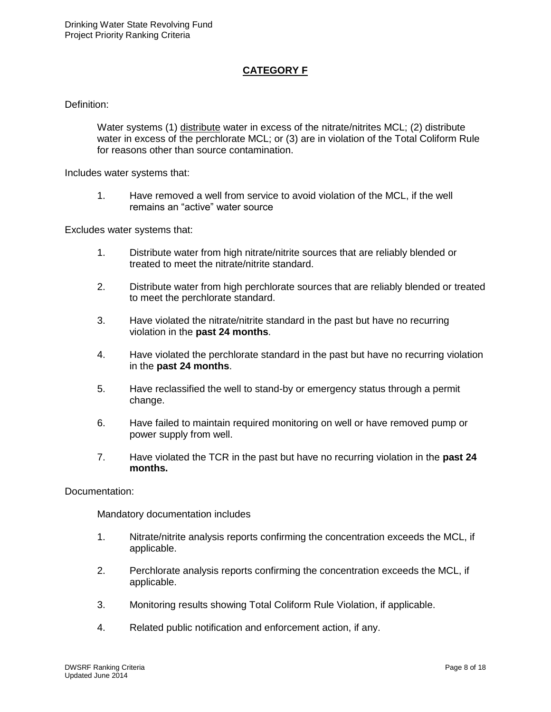# **CATEGORY F**

#### Definition:

Water systems (1) distribute water in excess of the nitrate/nitrites MCL; (2) distribute water in excess of the perchlorate MCL; or (3) are in violation of the Total Coliform Rule for reasons other than source contamination.

Includes water systems that:

1. Have removed a well from service to avoid violation of the MCL, if the well remains an "active" water source

Excludes water systems that:

- 1. Distribute water from high nitrate/nitrite sources that are reliably blended or treated to meet the nitrate/nitrite standard.
- 2. Distribute water from high perchlorate sources that are reliably blended or treated to meet the perchlorate standard.
- 3. Have violated the nitrate/nitrite standard in the past but have no recurring violation in the **past 24 months**.
- 4. Have violated the perchlorate standard in the past but have no recurring violation in the **past 24 months**.
- 5. Have reclassified the well to stand-by or emergency status through a permit change.
- 6. Have failed to maintain required monitoring on well or have removed pump or power supply from well.
- 7. Have violated the TCR in the past but have no recurring violation in the **past 24 months.**

Documentation:

- 1. Nitrate/nitrite analysis reports confirming the concentration exceeds the MCL, if applicable.
- 2. Perchlorate analysis reports confirming the concentration exceeds the MCL, if applicable.
- 3. Monitoring results showing Total Coliform Rule Violation, if applicable.
- 4. Related public notification and enforcement action, if any.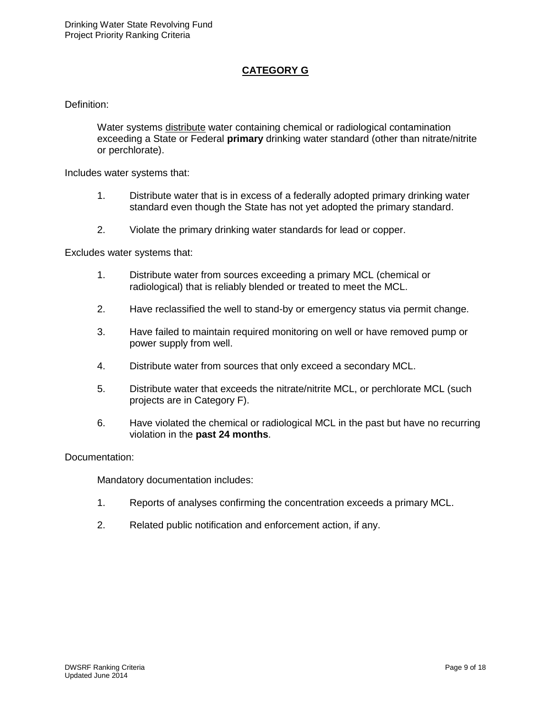# **CATEGORY G**

#### Definition:

Water systems distribute water containing chemical or radiological contamination exceeding a State or Federal **primary** drinking water standard (other than nitrate/nitrite or perchlorate).

Includes water systems that:

- 1. Distribute water that is in excess of a federally adopted primary drinking water standard even though the State has not yet adopted the primary standard.
- 2. Violate the primary drinking water standards for lead or copper.

Excludes water systems that:

- 1. Distribute water from sources exceeding a primary MCL (chemical or radiological) that is reliably blended or treated to meet the MCL.
- 2. Have reclassified the well to stand-by or emergency status via permit change.
- 3. Have failed to maintain required monitoring on well or have removed pump or power supply from well.
- 4. Distribute water from sources that only exceed a secondary MCL.
- 5. Distribute water that exceeds the nitrate/nitrite MCL, or perchlorate MCL (such projects are in Category F).
- 6. Have violated the chemical or radiological MCL in the past but have no recurring violation in the **past 24 months**.

#### Documentation:

- 1. Reports of analyses confirming the concentration exceeds a primary MCL.
- 2. Related public notification and enforcement action, if any.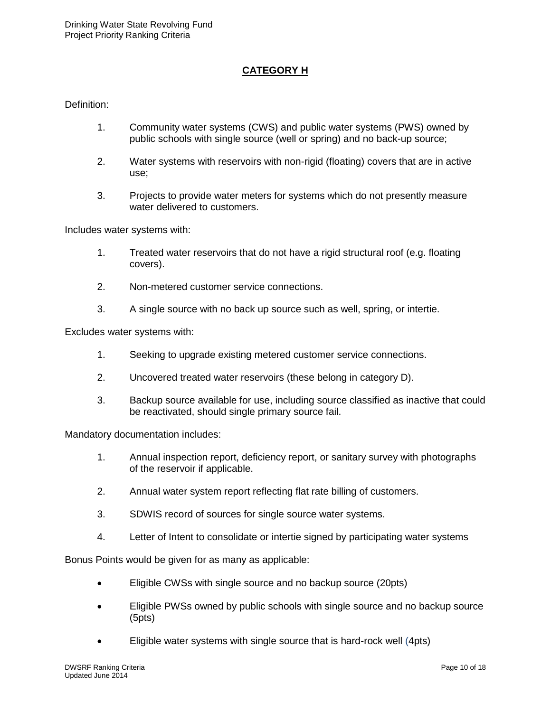## **CATEGORY H**

Definition:

- 1. Community water systems (CWS) and public water systems (PWS) owned by public schools with single source (well or spring) and no back-up source;
- 2. Water systems with reservoirs with non-rigid (floating) covers that are in active use;
- 3. Projects to provide water meters for systems which do not presently measure water delivered to customers.

Includes water systems with:

- 1. Treated water reservoirs that do not have a rigid structural roof (e.g. floating covers).
- 2. Non-metered customer service connections.
- 3. A single source with no back up source such as well, spring, or intertie.

Excludes water systems with:

- 1. Seeking to upgrade existing metered customer service connections.
- 2. Uncovered treated water reservoirs (these belong in category D).
- 3. Backup source available for use, including source classified as inactive that could be reactivated, should single primary source fail.

Mandatory documentation includes:

- 1. Annual inspection report, deficiency report, or sanitary survey with photographs of the reservoir if applicable.
- 2. Annual water system report reflecting flat rate billing of customers.
- 3. SDWIS record of sources for single source water systems.
- 4. Letter of Intent to consolidate or intertie signed by participating water systems

Bonus Points would be given for as many as applicable:

- Eligible CWSs with single source and no backup source (20pts)
- Eligible PWSs owned by public schools with single source and no backup source (5pts)
- Eligible water systems with single source that is hard-rock well (4pts)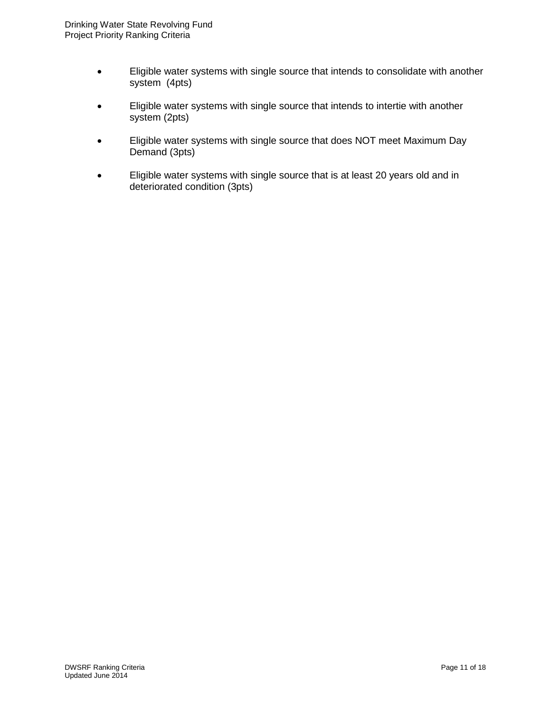- Eligible water systems with single source that intends to consolidate with another system (4pts)
- Eligible water systems with single source that intends to intertie with another system (2pts)
- Eligible water systems with single source that does NOT meet Maximum Day Demand (3pts)
- Eligible water systems with single source that is at least 20 years old and in deteriorated condition (3pts)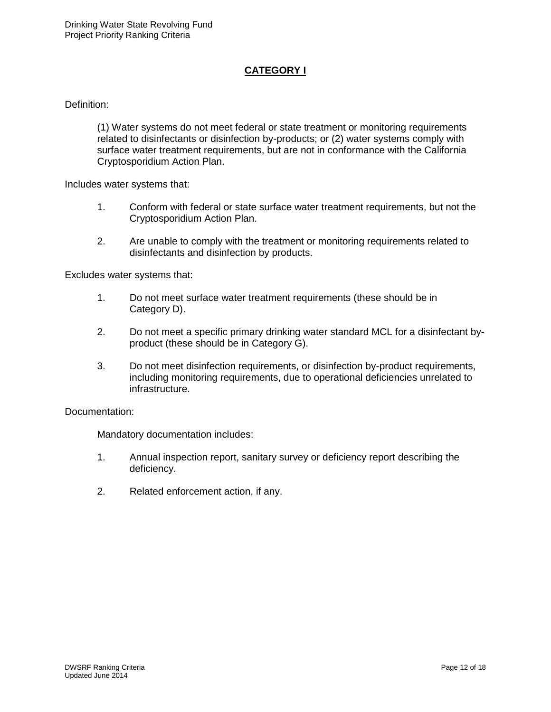# **CATEGORY I**

Definition:

(1) Water systems do not meet federal or state treatment or monitoring requirements related to disinfectants or disinfection by-products; or (2) water systems comply with surface water treatment requirements, but are not in conformance with the California Cryptosporidium Action Plan.

Includes water systems that:

- 1. Conform with federal or state surface water treatment requirements, but not the Cryptosporidium Action Plan.
- 2. Are unable to comply with the treatment or monitoring requirements related to disinfectants and disinfection by products.

Excludes water systems that:

- 1. Do not meet surface water treatment requirements (these should be in Category D).
- 2. Do not meet a specific primary drinking water standard MCL for a disinfectant byproduct (these should be in Category G).
- 3. Do not meet disinfection requirements, or disinfection by-product requirements, including monitoring requirements, due to operational deficiencies unrelated to infrastructure.

Documentation:

- 1. Annual inspection report, sanitary survey or deficiency report describing the deficiency.
- 2. Related enforcement action, if any.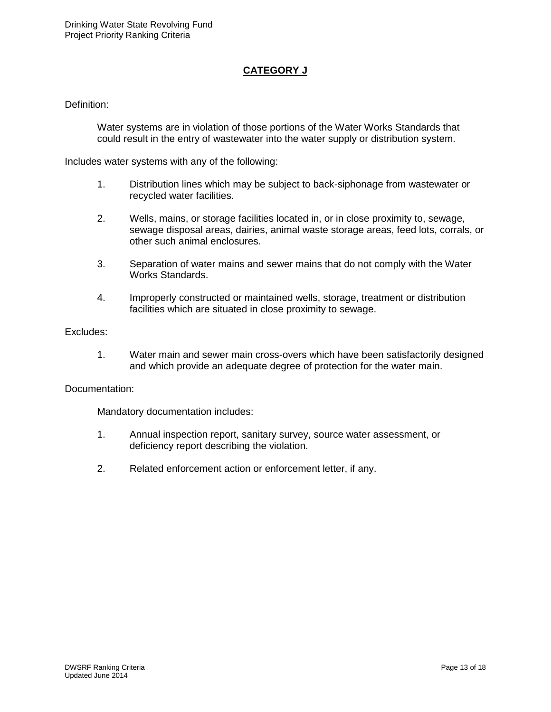# **CATEGORY J**

#### Definition:

Water systems are in violation of those portions of the Water Works Standards that could result in the entry of wastewater into the water supply or distribution system.

Includes water systems with any of the following:

- 1. Distribution lines which may be subject to back-siphonage from wastewater or recycled water facilities.
- 2. Wells, mains, or storage facilities located in, or in close proximity to, sewage, sewage disposal areas, dairies, animal waste storage areas, feed lots, corrals, or other such animal enclosures.
- 3. Separation of water mains and sewer mains that do not comply with the Water Works Standards.
- 4. Improperly constructed or maintained wells, storage, treatment or distribution facilities which are situated in close proximity to sewage.

#### Excludes:

1. Water main and sewer main cross-overs which have been satisfactorily designed and which provide an adequate degree of protection for the water main.

#### Documentation:

- 1. Annual inspection report, sanitary survey, source water assessment, or deficiency report describing the violation.
- 2. Related enforcement action or enforcement letter, if any.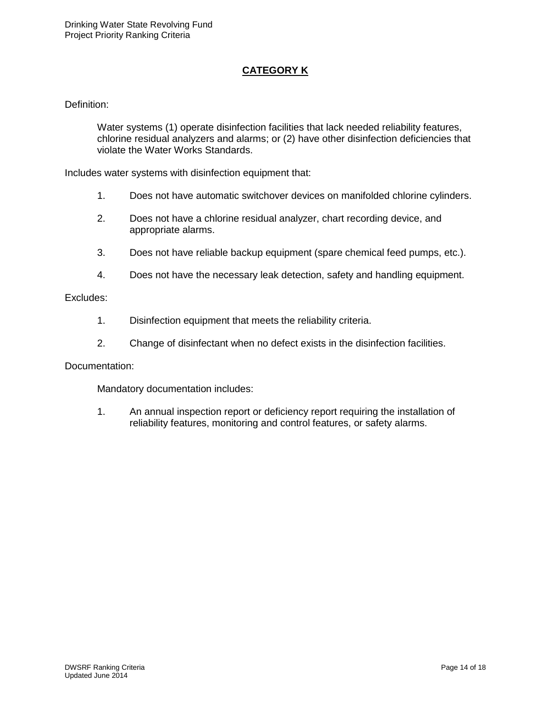# **CATEGORY K**

#### Definition:

Water systems (1) operate disinfection facilities that lack needed reliability features, chlorine residual analyzers and alarms; or (2) have other disinfection deficiencies that violate the Water Works Standards.

Includes water systems with disinfection equipment that:

- 1. Does not have automatic switchover devices on manifolded chlorine cylinders.
- 2. Does not have a chlorine residual analyzer, chart recording device, and appropriate alarms.
- 3. Does not have reliable backup equipment (spare chemical feed pumps, etc.).
- 4. Does not have the necessary leak detection, safety and handling equipment.

#### Excludes:

- 1. Disinfection equipment that meets the reliability criteria.
- 2. Change of disinfectant when no defect exists in the disinfection facilities.

#### Documentation:

Mandatory documentation includes:

1. An annual inspection report or deficiency report requiring the installation of reliability features, monitoring and control features, or safety alarms.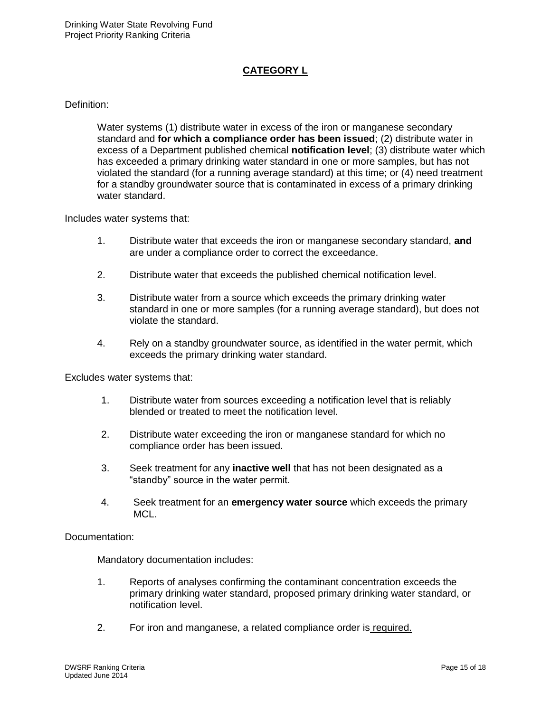## **CATEGORY L**

#### Definition:

Water systems (1) distribute water in excess of the iron or manganese secondary standard and **for which a compliance order has been issued**; (2) distribute water in excess of a Department published chemical **notification level**; (3) distribute water which has exceeded a primary drinking water standard in one or more samples, but has not violated the standard (for a running average standard) at this time; or (4) need treatment for a standby groundwater source that is contaminated in excess of a primary drinking water standard.

Includes water systems that:

- 1. Distribute water that exceeds the iron or manganese secondary standard, **and** are under a compliance order to correct the exceedance.
- 2. Distribute water that exceeds the published chemical notification level.
- 3. Distribute water from a source which exceeds the primary drinking water standard in one or more samples (for a running average standard), but does not violate the standard.
- 4. Rely on a standby groundwater source, as identified in the water permit, which exceeds the primary drinking water standard.

Excludes water systems that:

- 1. Distribute water from sources exceeding a notification level that is reliably blended or treated to meet the notification level.
- 2. Distribute water exceeding the iron or manganese standard for which no compliance order has been issued.
- 3. Seek treatment for any **inactive well** that has not been designated as a "standby" source in the water permit.
- 4. Seek treatment for an **emergency water source** which exceeds the primary MCL.

Documentation:

- 1. Reports of analyses confirming the contaminant concentration exceeds the primary drinking water standard, proposed primary drinking water standard, or notification level.
- 2. For iron and manganese, a related compliance order is required.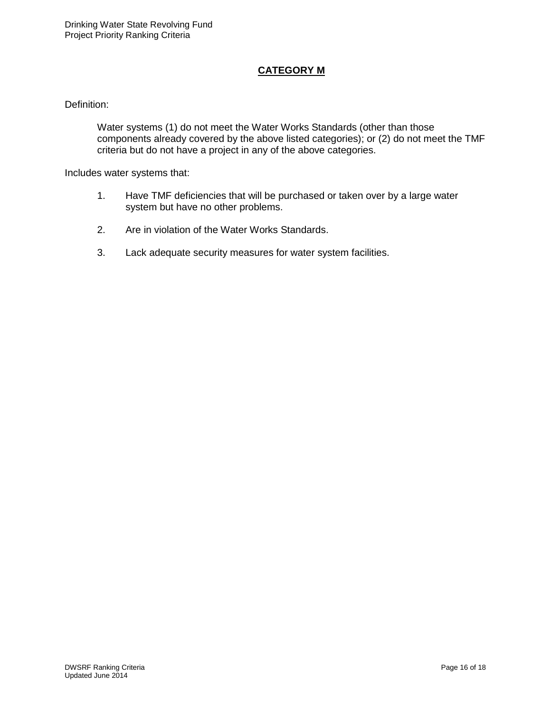## **CATEGORY M**

### Definition:

Water systems (1) do not meet the Water Works Standards (other than those components already covered by the above listed categories); or (2) do not meet the TMF criteria but do not have a project in any of the above categories.

Includes water systems that:

- 1. Have TMF deficiencies that will be purchased or taken over by a large water system but have no other problems.
- 2. Are in violation of the Water Works Standards.
- 3. Lack adequate security measures for water system facilities.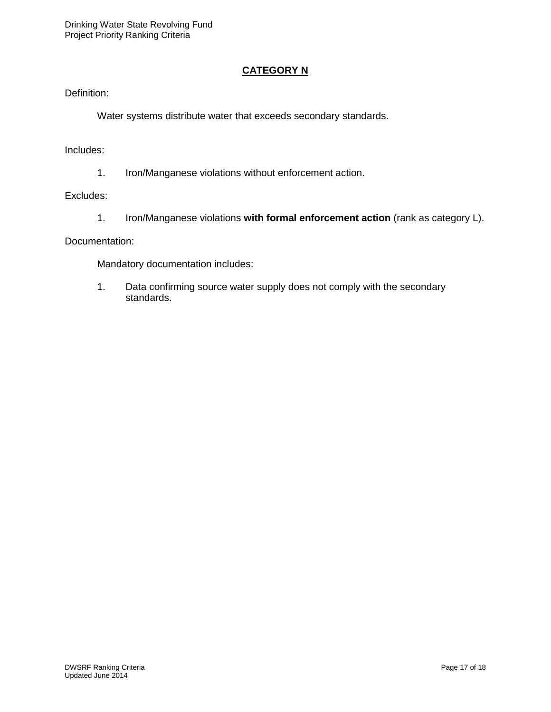## **CATEGORY N**

Definition:

Water systems distribute water that exceeds secondary standards.

Includes:

1. Iron/Manganese violations without enforcement action.

#### Excludes:

1. Iron/Manganese violations **with formal enforcement action** (rank as category L).

Documentation:

Mandatory documentation includes:

1. Data confirming source water supply does not comply with the secondary standards.